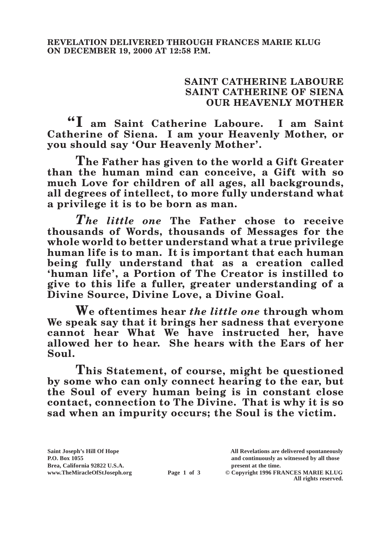## **SAINT CATHERINE LABOURE SAINT CATHERINE OF SIENA OUR HEAVENLY MOTHER**

**"I am Saint Catherine Laboure. I am Saint Catherine of Siena. I am your Heavenly Mother, or you should say 'Our Heavenly Mother'.**

**The Father has given to the world a Gift Greater than the human mind can conceive, a Gift with so much Love for children of all ages, all backgrounds, all degrees of intellect, to more fully understand what a privilege it is to be born as man.**

*The little one* **The Father chose to receive thousands of Words, thousands of Messages for the whole world to better understand what a true privilege human life is to man. It is important that each human being fully understand that as a creation called 'human life', a Portion of The Creator is instilled to give to this life a fuller, greater understanding of a Divine Source, Divine Love, a Divine Goal.**

**We oftentimes hear** *the little one* **through whom We speak say that it brings her sadness that everyone cannot hear What We have instructed her, have allowed her to hear. She hears with the Ears of her Soul.**

**This Statement, of course, might be questioned by some who can only connect hearing to the ear, but the Soul of every human being is in constant close contact, connection to The Divine. That is why it is so sad when an impurity occurs; the Soul is the victim.**

Brea, California 92822 U.S.A.<br>
www.TheMiracleOfStJoseph.org<br> **Page 1 of 3** © Copyright 1996 FR.

**Saint Joseph's Hill Of Hope All Revelations are delivered spontaneously P.O. Box 1055 and continuously as witnessed by all those** 

**Page 1 of 3** © Copyright 1996 FRANCES MARIE KLUG **All rights reserved.**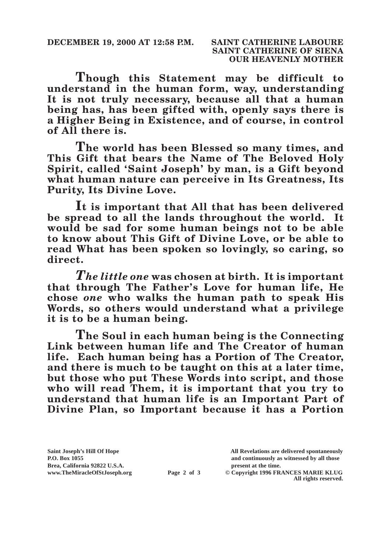**Though this Statement may be difficult to understand in the human form, way, understanding It is not truly necessary, because all that a human being has, has been gifted with, openly says there is a Higher Being in Existence, and of course, in control of All there is.**

**The world has been Blessed so many times, and This Gift that bears the Name of The Beloved Holy Spirit, called 'Saint Joseph' by man, is a Gift beyond what human nature can perceive in Its Greatness, Its Purity, Its Divine Love.**

**It is important that All that has been delivered be spread to all the lands throughout the world. It would be sad for some human beings not to be able to know about This Gift of Divine Love, or be able to read What has been spoken so lovingly, so caring, so direct.**

*The little one* **was chosen at birth. It is important that through The Father's Love for human life, He chose** *one* **who walks the human path to speak His Words, so others would understand what a privilege it is to be a human being.**

**The Soul in each human being is the Connecting Link between human life and The Creator of human life. Each human being has a Portion of The Creator, and there is much to be taught on this at a later time, but those who put These Words into script, and those who will read Them, it is important that you try to understand that human life is an Important Part of Divine Plan, so Important because it has a Portion** 

Brea, California 92822 U.S.A.<br>
www.TheMiracleOfStJoseph.org<br> **Page 2 of 3** © Copyright 1996 FR.

**Saint Joseph's Hill Of Hope All Revelations are delivered spontaneously P.O. Box 1055 and continuously as witnessed by all those** 

**Page 2 of 3** © Copyright 1996 FRANCES MARIE KLUG **All rights reserved.**